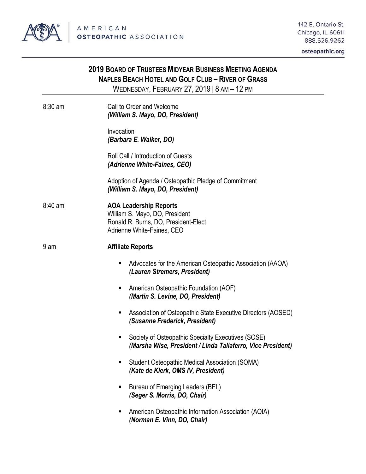

osteopathic.org

|           | 2019 BOARD OF TRUSTEES MIDYEAR BUSINESS MEETING AGENDA<br><b>NAPLES BEACH HOTEL AND GOLF CLUB - RIVER OF GRASS</b><br>WEDNESDAY, FEBRUARY 27, 2019   8 AM - 12 PM |
|-----------|-------------------------------------------------------------------------------------------------------------------------------------------------------------------|
| $8:30$ am | Call to Order and Welcome<br>(William S. Mayo, DO, President)                                                                                                     |
|           | Invocation<br>(Barbara E. Walker, DO)                                                                                                                             |
|           | Roll Call / Introduction of Guests<br>(Adrienne White-Faines, CEO)                                                                                                |
|           | Adoption of Agenda / Osteopathic Pledge of Commitment<br>(William S. Mayo, DO, President)                                                                         |
| $8:40$ am | <b>AOA Leadership Reports</b><br>William S. Mayo, DO, President<br>Ronald R. Burns, DO, President-Elect<br>Adrienne White-Faines, CEO                             |
| 9 am      | <b>Affiliate Reports</b>                                                                                                                                          |
|           | Advocates for the American Osteopathic Association (AAOA)<br>ш<br>(Lauren Stremers, President)                                                                    |
|           | American Osteopathic Foundation (AOF)<br>п<br>(Martin S. Levine, DO, President)                                                                                   |
|           | Association of Osteopathic State Executive Directors (AOSED)<br>п<br>(Susanne Frederick, President)                                                               |
|           | Society of Osteopathic Specialty Executives (SOSE)<br>п<br>(Marsha Wise, President / Linda Taliaferro, Vice President)                                            |
|           | Student Osteopathic Medical Association (SOMA)<br>Е<br>(Kate de Klerk, OMS IV, President)                                                                         |
|           | Bureau of Emerging Leaders (BEL)<br>п<br>(Seger S. Morris, DO, Chair)                                                                                             |
|           | American Osteopathic Information Association (AOIA)<br>(Norman E. Vinn, DO, Chair)                                                                                |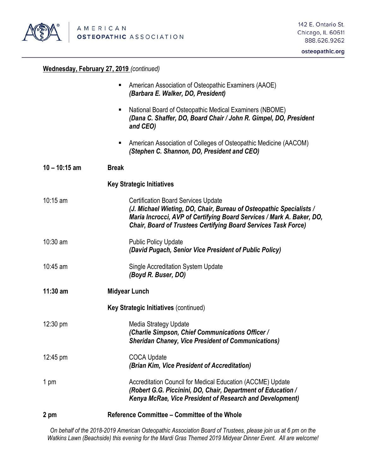

## osteopathic.org

## **Wednesday, February 27, 2019** *(continued)*

| 2 pm               | Reference Committee - Committee of the Whole                                                                                                                                                                                                                        |
|--------------------|---------------------------------------------------------------------------------------------------------------------------------------------------------------------------------------------------------------------------------------------------------------------|
| 1 pm               | Accreditation Council for Medical Education (ACCME) Update<br>(Robert G.G. Piccinini, DO, Chair, Department of Education /<br>Kenya McRae, Vice President of Research and Development)                                                                              |
| $12:45 \text{ pm}$ | <b>COCA Update</b><br>(Brian Kim, Vice President of Accreditation)                                                                                                                                                                                                  |
| 12:30 pm           | <b>Media Strategy Update</b><br>(Charlie Simpson, Chief Communications Officer /<br><b>Sheridan Chaney, Vice President of Communications)</b>                                                                                                                       |
|                    | <b>Key Strategic Initiatives (continued)</b>                                                                                                                                                                                                                        |
| $11:30$ am         | <b>Midyear Lunch</b>                                                                                                                                                                                                                                                |
| 10:45 am           | <b>Single Accreditation System Update</b><br>(Boyd R. Buser, DO)                                                                                                                                                                                                    |
| $10:30$ am         | <b>Public Policy Update</b><br>(David Pugach, Senior Vice President of Public Policy)                                                                                                                                                                               |
| $10:15$ am         | <b>Certification Board Services Update</b><br>(J. Michael Wieting, DO, Chair, Bureau of Osteopathic Specialists /<br>Maria Incrocci, AVP of Certifying Board Services / Mark A. Baker, DO,<br><b>Chair, Board of Trustees Certifying Board Services Task Force)</b> |
|                    | <b>Key Strategic Initiatives</b>                                                                                                                                                                                                                                    |
| $10 - 10:15$ am    | <b>Break</b>                                                                                                                                                                                                                                                        |
|                    | American Association of Colleges of Osteopathic Medicine (AACOM)<br>(Stephen C. Shannon, DO, President and CEO)                                                                                                                                                     |
|                    | National Board of Osteopathic Medical Examiners (NBOME)<br>٠<br>(Dana C. Shaffer, DO, Board Chair / John R. Gimpel, DO, President<br>and CEO)                                                                                                                       |
|                    | American Association of Osteopathic Examiners (AAOE)<br>(Barbara E. Walker, DO, President)                                                                                                                                                                          |

*On behalf of the 2018-2019 American Osteopathic Association Board of Trustees, please join us at 6 pm on the Watkins Lawn (Beachside) this evening for the Mardi Gras Themed 2019 Midyear Dinner Event. All are welcome!*